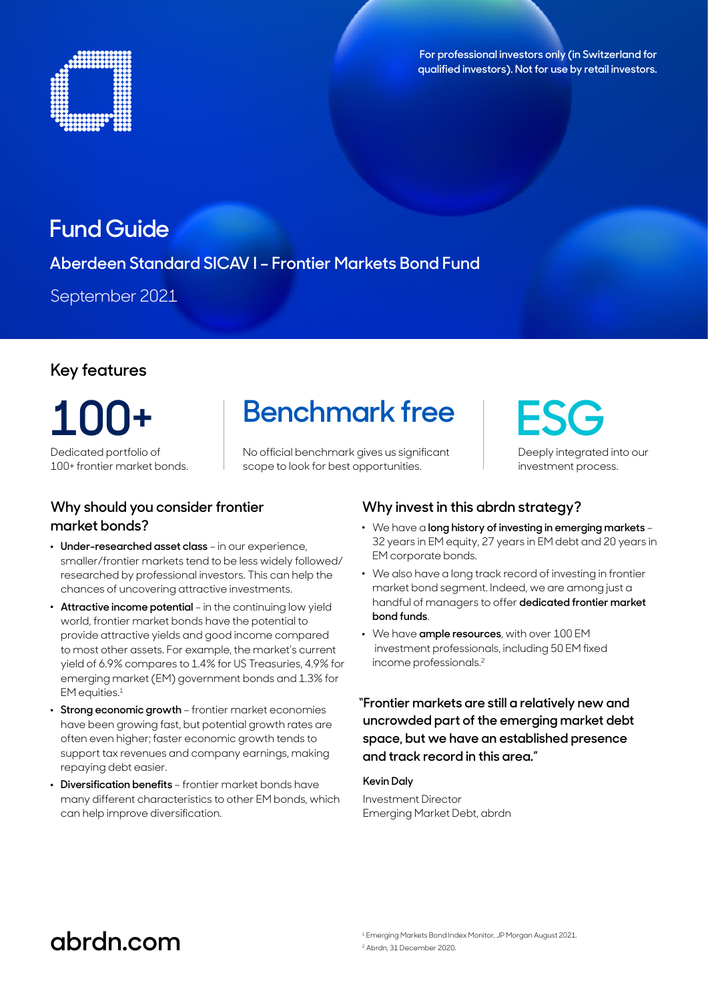



## **Fund Guide**

### **Aberdeen Standard SICAV I – Frontier Markets Bond Fund**

September 2021

### **Key features**

**100+** Dedicated portfolio of

100+ frontier market bonds.

### **Why should you consider frontier market bonds?**

- . **Under-researched asset class** in our experience, smaller/frontier markets tend to be less widely followed/ researched by professional investors. This can help the chances of uncovering attractive investments.
- . **Attractive income potential** in the continuing low yield world, frontier market bonds have the potential to provide attractive yields and good income compared to most other assets. For example, the market's current yield of 6.9% compares to 1.4% for US Treasuries, 4.9% for emerging market (EM) government bonds and 1.3% for EM equities.<sup>1</sup>
- . **Strong economic growth** frontier market economies have been growing fast, but potential growth rates are often even higher; faster economic growth tends to support tax revenues and company earnings, making repaying debt easier.
- .  **Diversification benefits** frontier market bonds have many different characteristics to other EM bonds, which can help improve diversification.

# **Benchmark free**

No official benchmark gives us significant scope to look for best opportunities.

**ESG** Deeply integrated into our investment process.

### **Why invest in this abrdn strategy?**

- . We have a **long history of investing in emerging markets** 32 years in EM equity, 27 years in EM debt and 20 years in EM corporate bonds.
- . We also have a long track record of investing in frontier market bond segment. Indeed, we are among just a handful of managers to offer **dedicated frontier market bond funds**.
- . We have **ample resources**, with over 100 EM investment professionals, including 50 EM fixed income professionals.2

**"Frontier markets are still a relatively new and uncrowded part of the emerging market debt space, but we have an established presence and track record in this area."**

#### **Kevin Daly**

Investment Director Emerging Market Debt, abrdn

# **abrdn.com**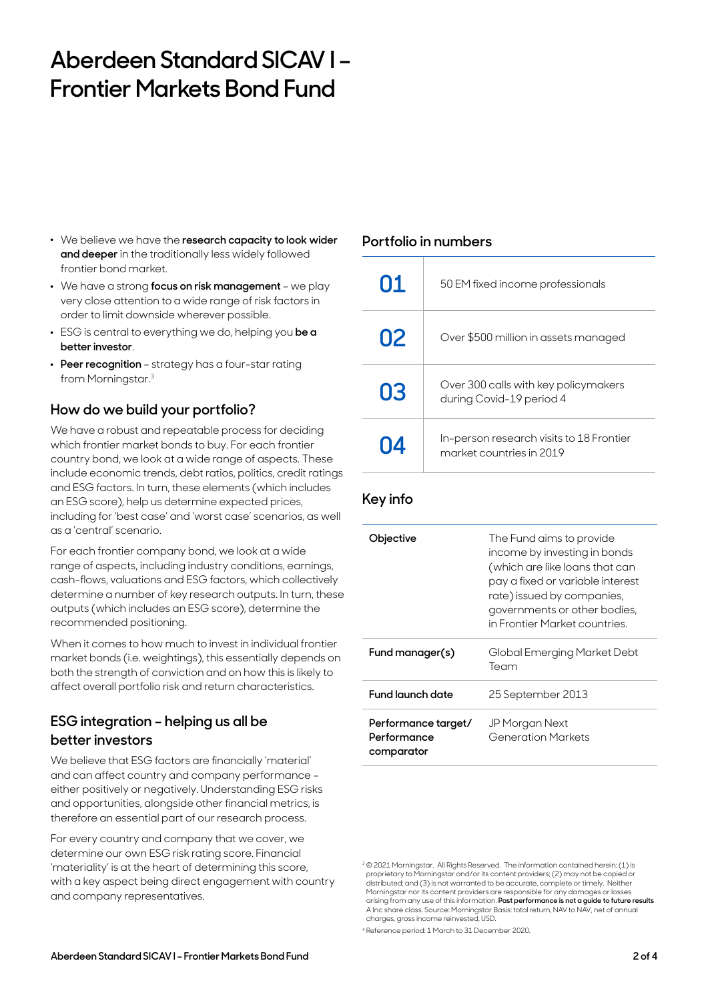# **Aberdeen Standard SICAV I – Frontier Markets Bond Fund**

- . We believe we have the **research capacity to look wider and deeper** in the traditionally less widely followed frontier bond market.
- . We have a strong **focus on risk management** we play very close attention to a wide range of risk factors in order to limit downside wherever possible.
- . ESG is central to everything we do, helping you **be a better investor**.
- . **Peer recognition** strategy has a four-star rating from Morningstar.3

### **How do we build your portfolio?**

We have a robust and repeatable process for deciding which frontier market bonds to buy. For each frontier country bond, we look at a wide range of aspects. These include economic trends, debt ratios, politics, credit ratings and ESG factors. In turn, these elements (which includes an ESG score), help us determine expected prices, including for 'best case' and 'worst case' scenarios, as well as a 'central' scenario.

For each frontier company bond, we look at a wide range of aspects, including industry conditions, earnings, cash-flows, valuations and ESG factors, which collectively determine a number of key research outputs. In turn, these outputs (which includes an ESG score), determine the recommended positioning.

When it comes to how much to invest in individual frontier market bonds (i.e. weightings), this essentially depends on both the strength of conviction and on how this is likely to affect overall portfolio risk and return characteristics.

### **ESG integration – helping us all be better investors**

We believe that ESG factors are financially 'material' and can affect country and company performance – either positively or negatively. Understanding ESG risks and opportunities, alongside other financial metrics, is therefore an essential part of our research process.

For every country and company that we cover, we determine our own ESG risk rating score. Financial 'materiality' is at the heart of determining this score, with a key aspect being direct engagement with country and company representatives.

### **Portfolio in numbers**

| 01 | 50 EM fixed income professionals                                     |
|----|----------------------------------------------------------------------|
| 02 | Over \$500 million in assets managed                                 |
| 03 | Over 300 calls with key policymakers<br>during Covid-19 period 4     |
| 04 | In-person research visits to 18 Frontier<br>market countries in 2019 |

### **Key info**

| Objective                                        | The Fund aims to provide<br>income by investing in bonds<br>(which are like loans that can<br>pay a fixed or variable interest<br>rate) issued by companies,<br>governments or other bodies,<br>in Frontier Market countries. |
|--------------------------------------------------|-------------------------------------------------------------------------------------------------------------------------------------------------------------------------------------------------------------------------------|
| Fund manager(s)                                  | Global Emerging Market Debt<br>Team                                                                                                                                                                                           |
| Fund launch date                                 | 25 September 2013                                                                                                                                                                                                             |
| Performance target/<br>Performance<br>comparator | JP Morgan Next<br><b>Generation Markets</b>                                                                                                                                                                                   |

4 Reference period: 1 March to 31 December 2020.

<sup>3</sup> © 2021 Morningstar. All Rights Reserved. The information contained herein: (1) is proprietary to Morningstar and/or its content providers; (2) may not be copied or distributed; and (3) is not warranted to be accurate, complete or timely. Neither Morningstar nor its content providers are responsible for any damages or losses arising from any use of this information. **Past performance is not a guide to future results** A Inc share class. Source: Morningstar Basis: total return, NAV to NAV, net of annual charges, gross income reinvested, USD.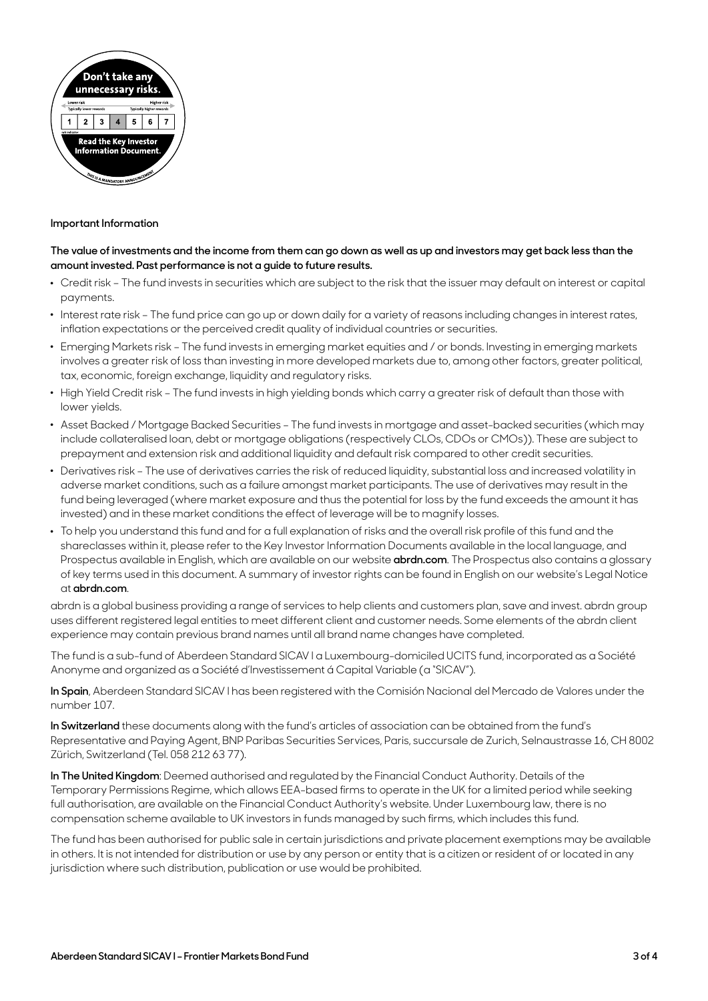

#### **Important Information**

#### **The value of investments and the income from them can go down as well as up and investors may get back less than the amount invested. Past performance is not a guide to future results.**

- . Credit risk The fund invests in securities which are subject to the risk that the issuer may default on interest or capital payments.
- . Interest rate risk The fund price can go up or down daily for a variety of reasons including changes in interest rates, inflation expectations or the perceived credit quality of individual countries or securities.
- . Emerging Markets risk The fund invests in emerging market equities and / or bonds. Investing in emerging markets involves a greater risk of loss than investing in more developed markets due to, among other factors, greater political, tax, economic, foreign exchange, liquidity and regulatory risks.
- . High Yield Credit risk The fund invests in high yielding bonds which carry a greater risk of default than those with lower yields.
- . Asset Backed / Mortgage Backed Securities The fund invests in mortgage and asset-backed securities (which may include collateralised loan, debt or mortgage obligations (respectively CLOs, CDOs or CMOs)). These are subject to prepayment and extension risk and additional liquidity and default risk compared to other credit securities.
- . Derivatives risk The use of derivatives carries the risk of reduced liquidity, substantial loss and increased volatility in adverse market conditions, such as a failure amongst market participants. The use of derivatives may result in the fund being leveraged (where market exposure and thus the potential for loss by the fund exceeds the amount it has invested) and in these market conditions the effect of leverage will be to magnify losses.
- . To help you understand this fund and for a full explanation of risks and the overall risk profile of this fund and the shareclasses within it, please refer to the Key Investor Information Documents available in the local language, and Prospectus available in English, which are available on our website **[abrdn.com](http://abrdn.com)**. The Prospectus also contains a glossary of key terms used in this document. A summary of investor rights can be found in English on our website's Legal Notice at **[abrdn.com](http://abrdn.com)**.

abrdn is a global business providing a range of services to help clients and customers plan, save and invest. abrdn group uses different registered legal entities to meet different client and customer needs. Some elements of the abrdn client experience may contain previous brand names until all brand name changes have completed.

The fund is a sub-fund of Aberdeen Standard SICAV l a Luxembourg-domiciled UCITS fund, incorporated as a Société Anonyme and organized as a Société d'Investissement á Capital Variable (a "SICAV").

**In Spain**, Aberdeen Standard SICAV l has been registered with the Comisión Nacional del Mercado de Valores under the number 107.

**In Switzerland** these documents along with the fund's articles of association can be obtained from the fund's Representative and Paying Agent, BNP Paribas Securities Services, Paris, succursale de Zurich, Selnaustrasse 16, CH 8002 Zürich, Switzerland (Tel. 058 212 63 77).

**In The United Kingdom**: Deemed authorised and regulated by the Financial Conduct Authority. Details of the Temporary Permissions Regime, which allows EEA-based firms to operate in the UK for a limited period while seeking full authorisation, are available on the Financial Conduct Authority's website. Under Luxembourg law, there is no compensation scheme available to UK investors in funds managed by such firms, which includes this fund.

The fund has been authorised for public sale in certain jurisdictions and private placement exemptions may be available in others. It is not intended for distribution or use by any person or entity that is a citizen or resident of or located in any jurisdiction where such distribution, publication or use would be prohibited.